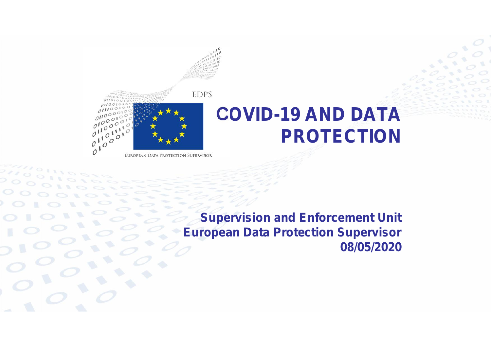

### **COVID-19 AND DATA PROTECTION**

EUROPEAN DATA PROTECTION SUPERVISOR

**Supervision and Enforcement Unit European Data Protection Supervisor 08/05/2020**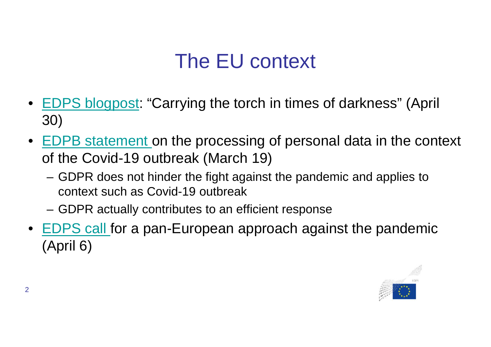- EDPS blogpost: "Carrying the torch in times of darkness" (April 30)
- EDPB statement on the processing of personal data in the context of the Covid-19 outbreak (March 19)
	- GDPR does not hinder the fight against the pandemic and applies to context such as Covid-19 outbreak
	- GDPR actually contributes to an efficient response
- EDPS call for a pan-European approach against the pandemic (April 6)

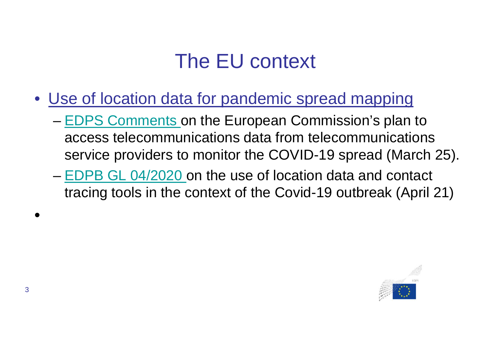- Use of location data for pandemic spread mapping
	- EDPS Comments on the European Commission's plan to access telecommunications data from telecommunications service providers to monitor the COVID-19 spread (March 25).
	- EDPB GL 04/2020 on the use of location data and contact tracing tools in the context of the Covid-19 outbreak (April 21)



•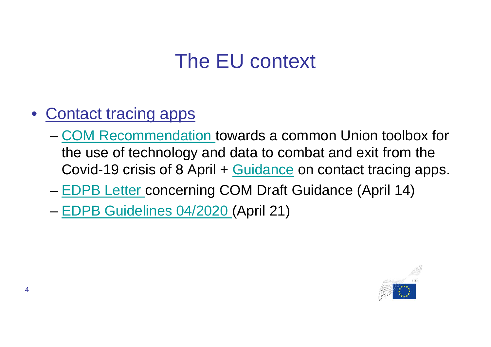- Contact tracing apps
	- COM Recommendation towards a common Union toolbox for the use of technology and data to combat and exit from the Covid-19 crisis of 8 April + Guidance on contact tracing apps.
	- EDPB Letter concerning COM Draft Guidance (April 14)

– EDPB Guidelines 04/2020 (April 21)

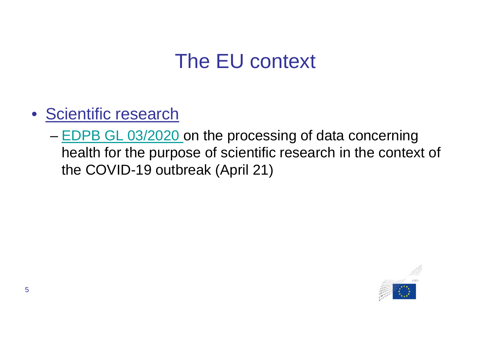- Scientific research
	- EDPB GL 03/2020 on the processing of data concerning health for the purpose of scientific research in the context of the COVID-19 outbreak (April 21)

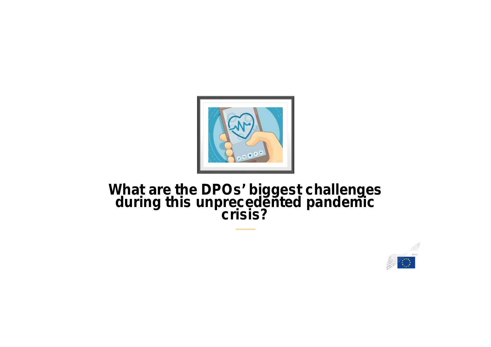

### **What are the DPOs' biggest challenges during this unprecedented pandemic crisis?**

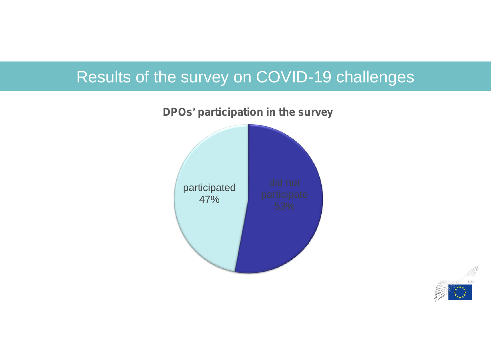

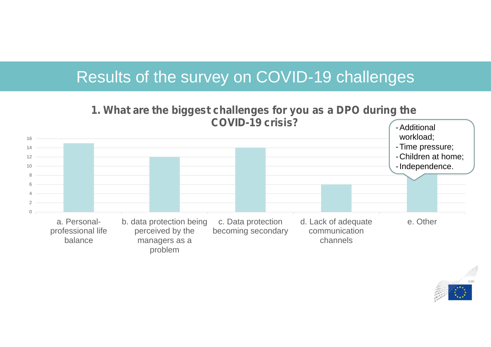0  $\mathfrak{D}$ 4 6 8 10 12 14 16 a. Personalprofessional life balance b. data protection being perceived by the managers as a problem c. Data protection becoming secondary d. Lack of adequate communication channels e. Other **1. What are the biggest challenges for you as a DPO during the COVID-19 crisis?** Additional workload; -Time pressure; -Children at home; -Independence.

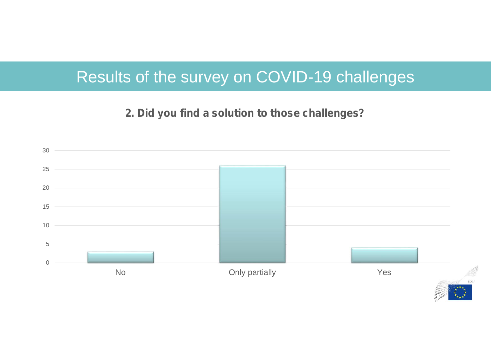#### **2. Did you find a solution to those challenges?**

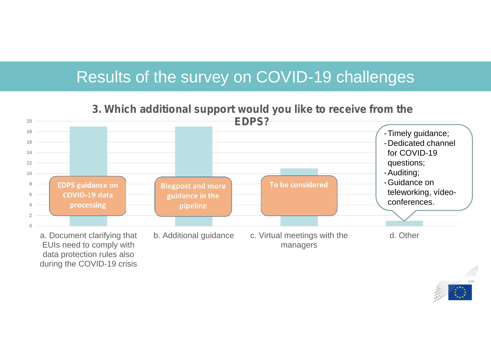

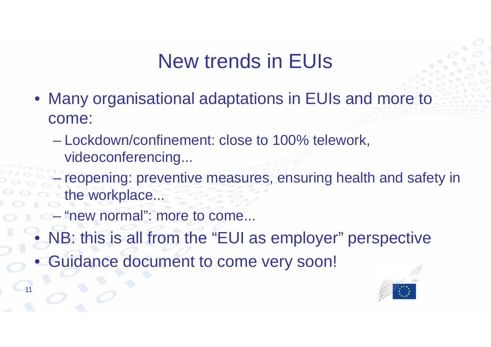## New trends in EUIs

- Many organisational adaptations in EUIs and more to come:
	- Lockdown/confinement: close to 100% telework, videoconferencing...
	- reopening: preventive measures, ensuring health and safety in the workplace...
	- "new normal": more to come...

- NB: this is all from the "EUI as employer" perspective
- Guidance document to come very soon!

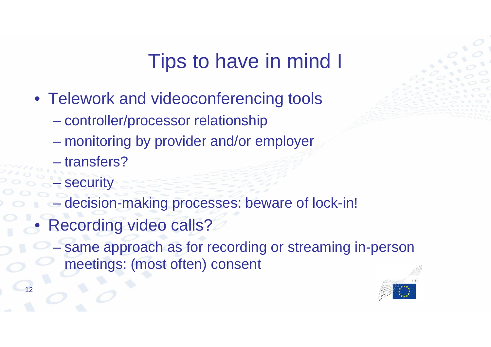# Tips to have in mind I

- Telework and videoconferencing tools
	- controller/processor relationship
	- monitoring by provider and/or employer
	- transfers?
	- **security**
	- decision-making processes: beware of lock-in!
- Recording video calls?
	- same approach as for recording or streaming in-person meetings: (most often) consent

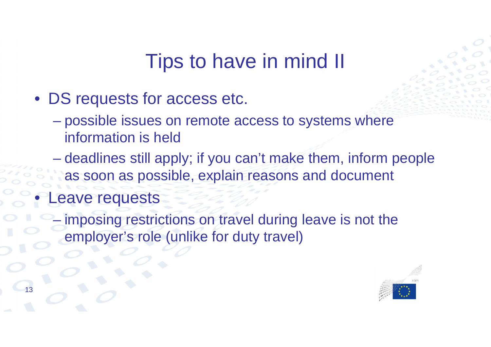## Tips to have in mind II

- DS requests for access etc.
	- possible issues on remote access to systems where information is held
	- deadlines still apply; if you can't make them, inform people as soon as possible, explain reasons and document
- eave requests

imposing restrictions on travel during leave is not the employer's role (unlike for duty travel)

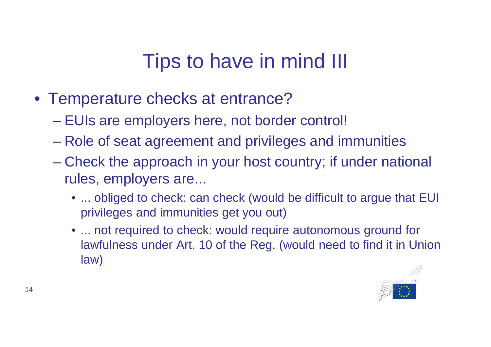# Tips to have in mind III

- Temperature checks at entrance?
	- EUIs are employers here, not border control!
	- Role of seat agreement and privileges and immunities
	- Check the approach in your host country; if under national rules, employers are...
		- ... obliged to check: can check (would be difficult to argue that EUI privileges and immunities get you out)
		- ... not required to check: would require autonomous ground for lawfulness under Art. 10 of the Reg. (would need to find it in Union law)

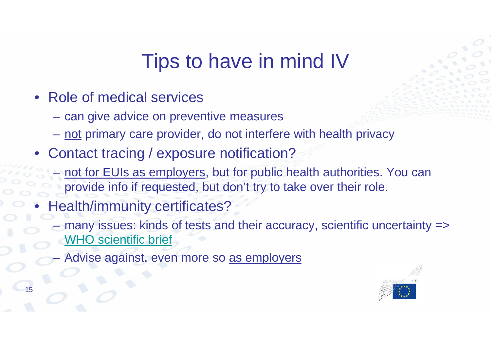# Tips to have in mind IV

- Role of medical services
	- can give advice on preventive measures
	- not primary care provider, do not interfere with health privacy
- Contact tracing / exposure notification?
	- not for EUIs as employers, but for public health authorities. You can provide info if requested, but don't try to take over their role.
- Health/immunity certificates?
	- many issues: kinds of tests and their accuracy, scientific uncertainty  $\Rightarrow$ WHO scientific brief
	- Advise against, even more so as employers